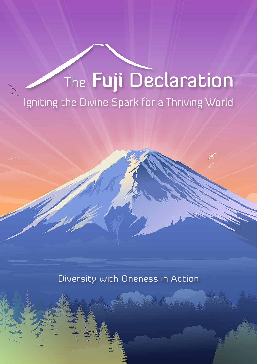# The Fuji Declaration

Igniting the Divine Spark for a Thriving World

Diversity with Oneness in Action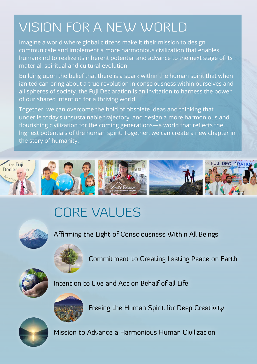# VISION FOR A NEW WORLD

Imagine a world where global citizens make it their mission to design, communicate and implement a more harmonious civilization that enables humankind to realize its inherent potential and advance to the next stage of its material, spiritual and cultural evolution.

Building upon the belief that there is a spark within the human spirit that when ignited can bring about a true revolution in consciousness within ourselves and all spheres of society, the Fuji Declaration is an invitation to harness the power of our shared intention for a thriving world.

Together, we can overcome the hold of obsolete ideas and thinking that underlie today's unsustainable trajectory, and design a more harmonious and flourishing civilization for the coming generations—a world that reflects the highest potentials of the human spirit. Together, we can create a new chapter in the story of humanity.





# CORE VALUES





Affirming the Light of Consciousness Within All Beings

Commitment to Creating Lasting Peace on Earth







Intention to Live and Act on Behalf of all Life



Freeing the Human Spirit for Deep Creativity



Mission to Advance a Harmonious Human Civilization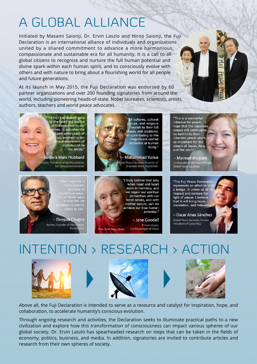# A GLOBAL ALLIANCE

Initiated by Masami Saionji, Dr. Ervin Laszlo and Hiroo Saionji, the Fuji Declaration is an international alliance of individuals and organizations united by a shared commitment to advance a more harmonious, compassionate and sustainable era for all humanity. It is a call to all global citizens to recognize and nurture the full human potential and divine spark within each human spirit, and to consciously evolve with others and with nature to bring about a flourishing world for all people and future generations.

At its launch in May 2015, the Fuji Declaration was endorsed by 60 partner organizations and over 200 founding signatories from around the world, including pioneering heads-of-state, Nobel laureates, scientists, artists, authors, teachers and world peace advocates.

> 'The Fuji Declaration goes to the heart and source of the response to our rises. It activates the Spirit within each of us, awakening our ique expression of contribution to the whole."

**Barbara Marx Hubbard** turist, President of the Foundation for Conscious Evolution

> 'What happens is operates in<br>mysterious ways. One of those ways.<br>
> is that the old<br>
> paradigm suddenly starts to die.'

- Deepak Chopra Author, Founder of The C Found



groups, and religions flourish to their full beauty and creativity, all contributing to the magnificent unified orchestra of human living."

l Peace laureate, Founder of Grameen Bank, Economist



when head and heart work in harmony, and we regain our spiritual connection with our inner selves, and with mother nature, can we achieve our true human potential."

> - Jane Goodall Primatologist, UN Messenger of Peace

"This is a wonderful initiative for peace... I hope that the Japanese people will continue to be faithful to their inherited peace which so important for the people of Japan, Asia, and the world."

 $\overline{\mathbf{r}}$ 

- Mairead Maguire Co-founder of the Peace<br>Nobel Peace Laureate

"The Fuji Peace Declaration represents an effort to buil a bridge. It unites us all to respect and nurture the light of peace. I believe that it will bring hope, inspiration, and fellowship

- Oscar Arias Sánchez Nobel Peace laureate, Forme **President of Costa Rica** 

INTENTION > RESEARCH > ACT







Above all, the Fuji Declaration is intended to serve as a resource and catalyst for inspiration, hope, and collaboration, to accelerate humanity's conscious evolution.

Through ongoing research and activities, the Declaration seeks to illuminate practical paths to a new civilization and explore how this transformation of consciousness can impact various spheres of our global society. Dr. Ervin Laszlo has spearheaded research on steps that can be taken in the fields of economy, politics, business, and media. In addition, signatories are invited to contribute articles and research from their own spheres of society.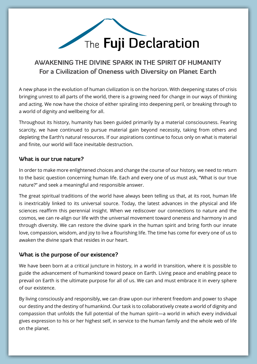

#### **AWAKENING THE DIVINE SPARK IN THE SPIRIT OF HUMANITY For a Civilization of Oneness with Diversity on Planet Earth**

A new phase in the evolution of human civilization is on the horizon. With deepening states of crisis bringing unrest to all parts of the world, there is a growing need for change in our ways of thinking and acting. We now have the choice of either spiraling into deepening peril, or breaking through to a world of dignity and wellbeing for all.

Throughout its history, humanity has been guided primarily by a material consciousness. Fearing scarcity, we have continued to pursue material gain beyond necessity, taking from others and depleting the Earth's natural resources. If our aspirations continue to focus only on what is material and finite, our world will face inevitable destruction.

#### **What is our true nature?**

In order to make more enlightened choices and change the course of our history, we need to return to the basic question concerning human life. Each and every one of us must ask, "What is our true nature?" and seek a meaningful and responsible answer.

The great spiritual traditions of the world have always been telling us that, at its root, human life is inextricably linked to its universal source. Today, the latest advances in the physical and life sciences reaffirm this perennial insight. When we rediscover our connections to nature and the cosmos, we can re-align our life with the universal movement toward oneness and harmony in and through diversity. We can restore the divine spark in the human spirit and bring forth our innate love, compassion, wisdom, and joy to live a flourishing life. The time has come for every one of us to awaken the divine spark that resides in our heart.

#### **What is the purpose of our existence?**

We have been born at a critical juncture in history, in a world in transition, where it is possible to guide the advancement of humankind toward peace on Earth. Living peace and enabling peace to prevail on Earth is the ultimate purpose for all of us. We can and must embrace it in every sphere of our existence.

By living consciously and responsibly, we can draw upon our inherent freedom and power to shape our destiny and the destiny of humankind. Our task is to collaboratively create a world of dignity and compassion that unfolds the full potential of the human spirit—a world in which every individual gives expression to his or her highest self, in service to the human family and the whole web of life on the planet.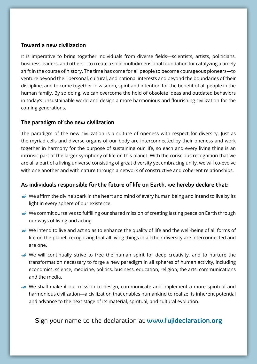#### **Toward a new civilization**

It is imperative to bring together individuals from diverse fields—scientists, artists, politicians, business leaders, and others—to create a solid multidimensional foundation for catalyzing a timely shift in the course of history. The time has come for all people to become courageous pioneers—to venture beyond their personal, cultural, and national interests and beyond the boundaries of their discipline, and to come together in wisdom, spirit and intention for the benefit of all people in the human family. By so doing, we can overcome the hold of obsolete ideas and outdated behaviors in today's unsustainable world and design a more harmonious and flourishing civilization for the coming generations.

#### **The paradigm of the new civilization**

The paradigm of the new civilization is a culture of oneness with respect for diversity. Just as the myriad cells and diverse organs of our body are interconnected by their oneness and work together in harmony for the purpose of sustaining our life, so each and every living thing is an intrinsic part of the larger symphony of life on this planet. With the conscious recognition that we are all a part of a living universe consisting of great diversity yet embracing unity, we will co-evolve with one another and with nature through a network of constructive and coherent relationships.

#### **As individuals responsible for the future of life on Earth, we hereby declare that:**

- $\rightarrow$  We affirm the divine spark in the heart and mind of every human being and intend to live by its light in every sphere of our existence.
- We commit ourselves to fulfilling our shared mission of creating lasting peace on Earth through our ways of living and acting.
- We intend to live and act so as to enhance the quality of life and the well-being of all forms of life on the planet, recognizing that all living things in all their diversity are interconnected and are one.
- We will continually strive to free the human spirit for deep creativity, and to nurture the transformation necessary to forge a new paradigm in all spheres of human activity, including economics, science, medicine, politics, business, education, religion, the arts, communications and the media.
- We shall make it our mission to design, communicate and implement a more spiritual and harmonious civilization—a civilization that enables humankind to realize its inherent potential and advance to the next stage of its material, spiritual, and cultural evolution.

#### Sign your name to the declaration at **www.fujideclaration.org**